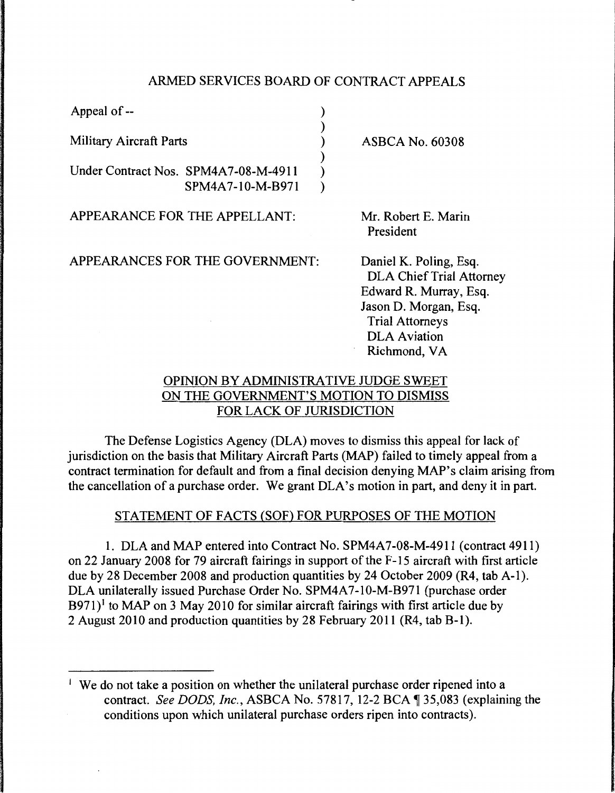## ARMED SERVICES BOARD OF CONTRACT APPEALS

| Appeal of --                         |                                  |
|--------------------------------------|----------------------------------|
| <b>Military Aircraft Parts</b>       | <b>ASBCA No. 60308</b>           |
| Under Contract Nos. SPM4A7-08-M-4911 |                                  |
| SPM4A7-10-M-B971                     |                                  |
| APPEARANCE FOR THE APPELLANT:        | Mr. Robert E. Marin<br>President |
| APPEARANCES FOR THE GOVERNMENT:      | Daniel K. Poling, Eso            |

. Esq. DLA Chief Trial Attorney Edward R. Murray, Esq. Jason D. Morgan, Esq.

Trial Attorneys DLA Aviation Richmond, VA

# OPINION BY ADMINISTRATIVE JUDGE SWEET ON THE GOVERNMENT'S MOTION TO DISMISS FOR LACK OF JURISDICTION

The Defense Logistics Agency (DLA) moves to dismiss this appeal for lack of jurisdiction on the basis that Military Aircraft Parts (MAP) failed to timely appeal from a contract termination for default and from a final decision denying MAP's claim arising from the cancellation of a purchase order. We grant DLA's motion in part, and deny it in part.

## STATEMENT OF FACTS (SOF) FOR PURPOSES OF THE MOTION

1. DLA and MAP entered into Contract No. SPM4A7-08-M-4911 (contract 4911) on 22 January 2008 for 79 aircraft fairings in support of the F-15 aircraft with first article due by 28 December 2008 and production quantities by 24 October 2009 (R4, tab A-1). DLA unilaterally issued Purchase Order No. SPM4A7-10-M-B971 (purchase order  $B971$ <sup>l</sup> to MAP on 3 May 2010 for similar aircraft fairings with first article due by 2 August 2010 and production quantities by 28 February 2011 (R4, tab B-1).

<sup>&</sup>lt;sup>1</sup> We do not take a position on whether the unilateral purchase order ripened into a contract. *See DODS, Inc., ASBCA No.* 57817, 12-2 BCA ¶ 35,083 (explaining the conditions upon which unilateral purchase orders ripen into contracts).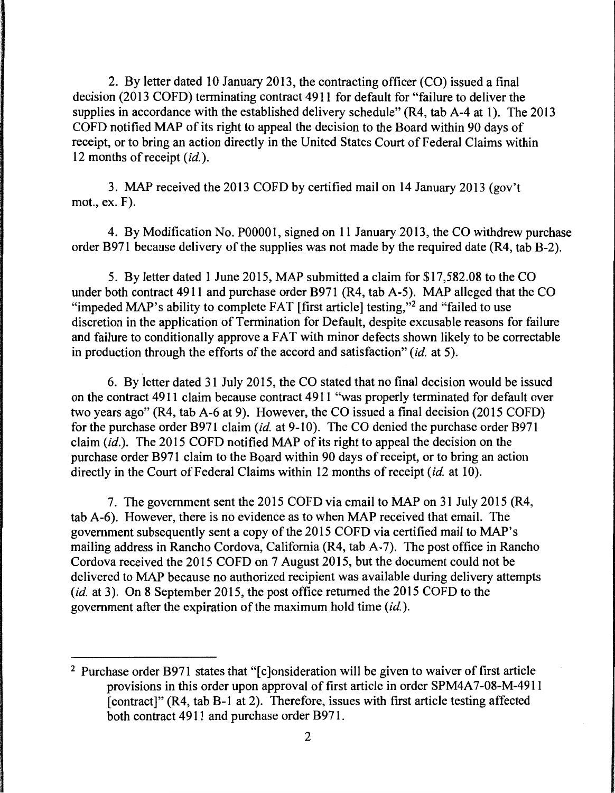2. By letter dated 10 January 2013, the contracting officer (CO) issued a final decision (2013 COFD) terminating contract 4911 for default for "failure to deliver the supplies in accordance with the established delivery schedule" (R4, tab A-4 at 1). The 2013 COFD notified MAP of its right to appeal the decision to the Board within 90 days of receipt, or to bring an action directly in the United States Court of Federal Claims within 12 months of receipt *(id.).* 

3. MAP received the 2013 COFD by certified mail on 14 January 2013 (gov't mot., ex. F).

4. By Modification No. POOOOl, signed on 11 January 2013, the CO withdrew purchase order B971 because delivery of the supplies was not made by the required date (R4, tab B-2).

5. By letter dated 1 June 2015, MAP submitted a claim for \$17,582.08 to the CO under both contract 4911 and purchase order B971 (R4, tab A-5). MAP alleged that the CO "impeded MAP's ability to complete FAT [first article] testing,"<sup>2</sup> and "failed to use discretion in the application of Termination for Default, despite excusable reasons for failure and failure to conditionally approve a FAT with minor defects shown likely to be correctable in production through the efforts of the accord and satisfaction" *(id.* at 5).

6. By letter dated 31 July 2015, the CO stated that no final decision would be issued on the contract 4911 claim because contract 4911 "was properly terminated for default over two years ago" (R4, tab A-6 at 9). However, the CO issued a final decision (2015 COFD) for the purchase order B971 claim *(id.* at 9-10). The CO denied the purchase order B971 claim *(id.).* The 2015 COFD notified MAP of its right to appeal the decision on the purchase order B971 claim to the Board within 90 days of receipt, or to bring an action directly in the Court of Federal Claims within 12 months of receipt *(id.* at 10).

7. The government sent the 2015 COFD via email to MAP on 31 July 2015 (R4, tab A-6). However, there is no evidence as to when MAP received that email. The government subsequently sent a copy of the 2015 COFD via certified mail to MAP's mailing address in Rancho Cordova, California (R4, tab A-7). The post office in Rancho Cordova received the 2015 COFD on 7 August 2015, but the document could not be delivered to MAP because no authorized recipient was available during delivery attempts *(id.* at 3). On 8 September 2015, the post office returned the 2015 COFD to the government after the expiration of the maximum hold time *(id.).* 

<sup>&</sup>lt;sup>2</sup> Purchase order B971 states that "[c]onsideration will be given to waiver of first article provisions in this order upon approval of first article in order SPM4A7-08-M-4911 [contract]" (R4, tab B-1 at 2). Therefore, issues with first article testing affected both contract 4911 and purchase order B971.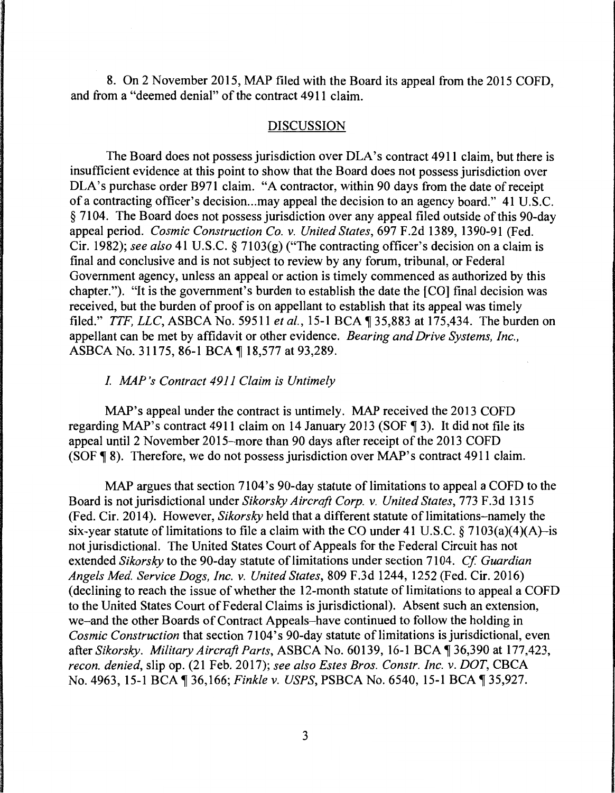8. On 2 November 2015, MAP filed with the Board its appeal from the 2015 COFD, and from a "deemed denial" of the contract 4911 claim.

### DISCUSSION

The Board does not possess jurisdiction over DLA's contract 4911 claim, but there is insufficient evidence at this point to show that the Board does not possess jurisdiction over DLA's purchase order B971 claim. "A contractor, within 90 days from the date of receipt of a contracting officer's decision ... may appeal the decision to an agency board." 41 U.S.C. § 7104. The Board does not possess jurisdiction over any appeal filed outside of this 90-day appeal period. *Cosmic Construction Co. v. United States,* 697 F.2d 1389, 1390-91 (Fed. Cir. 1982); *see also* 41 U.S.C. § 7103(g) ("The contracting officer's decision on a claim is final and conclusive and is not subject to review by any forum, tribunal, or Federal Government agency, unless an appeal or action is timely commenced as authorized by this chapter."). "It is the government's burden to establish the date the [CO] final decision was received, but the burden of proof is on appellant to establish that its appeal was timely filed." *TTF, LLC,* ASBCA No. 59511 *et al.,* 15-1 BCA ~ 35,883 at 175,434. The burden on appellant can be met by affidavit or other evidence. *Bearing and Drive Systems, Inc.,*  ASBCA No. 31175, 86-1 BCA ¶ 18,577 at 93,289.

### *I. MAP 's Contract 4911 Claim is Untimely*

MAP's appeal under the contract is untimely. MAP received the 2013 COFD regarding MAP's contract 4911 claim on 14 January 2013 (SOF  $\P$ 3). It did not file its appeal until 2 November 2015-more than 90 days after receipt of the 2013 COFD (SOF  $\sqrt{8}$  8). Therefore, we do not possess jurisdiction over MAP's contract 4911 claim.

MAP argues that section 7104's 90-day statute of limitations to appeal a COFD to the Board is not jurisdictional under *Sikorsky Aircraft Corp. v. United States,* 773 F .3d 1315 (Fed. Cir. 2014). However, *Sikorsky* held that a different statute of limitations-namely the six-year statute of limitations to file a claim with the CO under 41 U.S.C.  $\S 7103(a)(4)(A)$ -is not jurisdictional. The United States Court of Appeals for the Federal Circuit has not extended *Sikorsky* to the 90-day statute of limitations under section 7104. *Cf Guardian Angels Med. Service Dogs, Inc. v. United States,* 809 F.3d 1244, 1252 (Fed. Cir. 2016) (declining to reach the issue of whether the 12-month statute of limitations to appeal a COFD to the United States Court of Federal Claims is jurisdictional). Absent such an extension, we-and the other Boards of Contract Appeals-have continued to follow the holding in *Cosmic Construction* that section 7104's 90-day statute of limitations is jurisdictional, even after *Sikorsky. Military Aircraft Parts*, ASBCA No. 60139, 16-1 BCA ¶ 36,390 at 177,423, *recon. denied,* slip op. (21 Feb. 2017); *see also Estes Bros. Constr. Inc. v. DOT,* CBCA No. 4963, 15-1BCA~36,166; *Finkle v. USPS,* PSBCA No. 6540, 15-1BCA~35,927.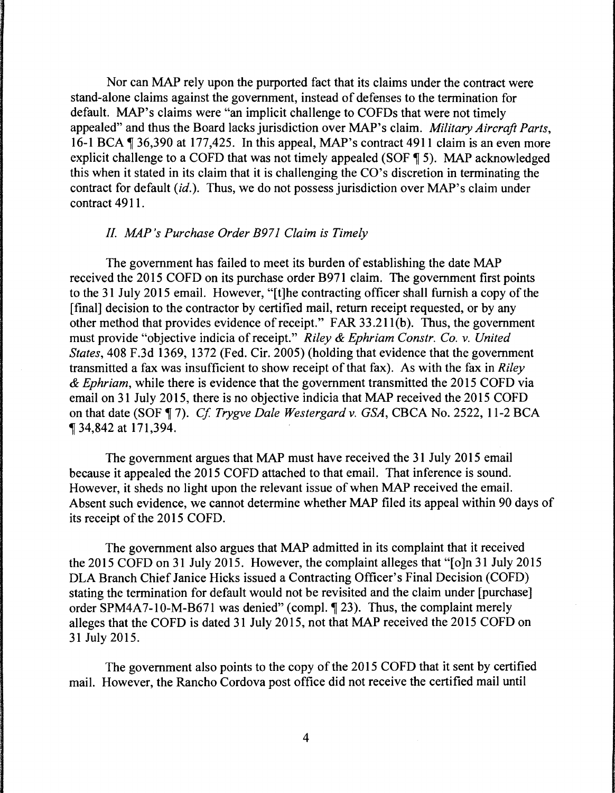Nor can MAP rely upon the purported fact that its claims under the contract were stand-alone claims against the government, instead of defenses to the termination for default. MAP's claims were "an implicit challenge to COFDs that were not timely appealed" and thus the Board lacks jurisdiction over MAP's claim. *Military Aircraft Parts,*  16-1 BCA ¶ 36,390 at 177,425. In this appeal, MAP's contract 4911 claim is an even more explicit challenge to a COFD that was not timely appealed (SOF  $\P$  5). MAP acknowledged this when it stated in its claim that it is challenging the CO's discretion in terminating the contract for default *(id.).* Thus, we do not possess jurisdiction over MAP's claim under contract 4911.

#### *II. MAP 's Purchase Order B971 Claim is Timely*

The government has failed to meet its burden of establishing the date MAP received the 2015 COFD on its purchase order B971 claim. The government first points to the 31 July 2015 email. However, "[t]he contracting officer shall furnish a copy of the [final] decision to the contractor by certified mail, return receipt requested, or by any other method that provides evidence of receipt." FAR 33.21 l(b). Thus, the government must provide "objective indicia of receipt." *Riley* & *Ephriam Constr. Co.* v. *United States,* 408 F.3d 1369, 1372 (Fed. Cir. 2005) (holding that evidence that the government transmitted a fax was insufficient to show receipt of that fax). As with the fax in *Riley*  & *Ephriam,* while there is evidence that the government transmitted the 2015 COFD via email on 31 July 2015, there is no objective indicia that MAP received the 2015 COFD on that date (SOF, 7). *Cf Trygve Dale Westergard* v. *GSA,* CBCA No. 2522, 11-2 BCA , 34,842 at 171,394.

The government argues that MAP must have received the 31 July 2015 email because it appealed the 2015 COFD attached to that email. That inference is sound. However, it sheds no light upon the relevant issue of when MAP received the email. Absent such evidence, we cannot determine whether MAP filed its appeal within 90 days of its receipt of the 2015 COFD.

The government also argues that MAP admitted in its complaint that it received the 2015 COFD on 31 July 2015. However, the complaint alleges that "[o]n 31 July 2015 DLA Branch Chief Janice Hicks issued a Contracting Officer's Final Decision (COFD) stating the termination for default would not be revisited and the claim under [purchase] order SPM4A7-10-M-B671 was denied" (compl.  $\P$  23). Thus, the complaint merely alleges that the COFD is dated 31 July 2015, not that MAP received the 2015 COFD on 31 July 2015.

The government also points to the copy of the 2015 COFD that it sent by certified mail. However, the Rancho Cordova post office did not receive the certified mail until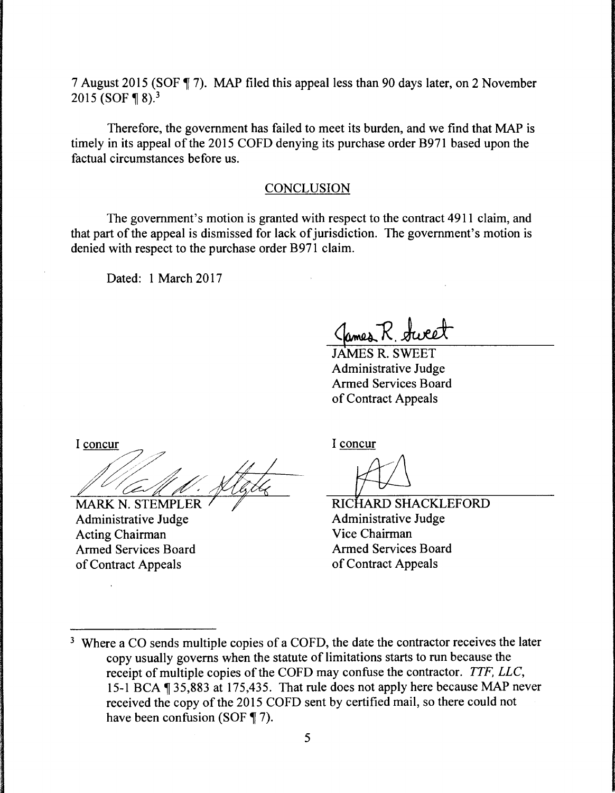7 August 2015 (SOF ¶ 7). MAP filed this appeal less than 90 days later, on 2 November 2015 (SOF  $\P$ 8).<sup>3</sup>

Therefore, the government has failed to meet its burden, and we find that MAP is timely in its appeal of the 2015 COFD denying its purchase order B971 based upon the factual circumstances before us.

#### **CONCLUSION**

The government's motion is granted with respect to the contract 4911 claim, and that part of the appeal is dismissed for lack of jurisdiction. The government's motion is denied with respect to the purchase order B971 claim.

Dated: 1 March 2017

Clames R. Sweet

JAMES R. SWEET Administrative Judge Armed Services Board of Contract Appeals

I concur

MARK N. STEMPLER Administrative Judge Acting Chairman Armed Services Board of Contract Appeals

I concur

Administrative Judge RICHARD SHACKLEFORD Vice Chairman Armed Services Board of Contract Appeals

<sup>&</sup>lt;sup>3</sup> Where a CO sends multiple copies of a COFD, the date the contractor receives the later copy usually governs when the statute of limitations starts to run because the receipt of multiple copies of the COFD may confuse the contractor. *TTF, LLC,*  15-1BCA~35,883 at 175,435. That rule does not apply here because MAP never received the copy of the 2015 COFD sent by certified mail, so there could not have been confusion (SOF  $\P$  7).